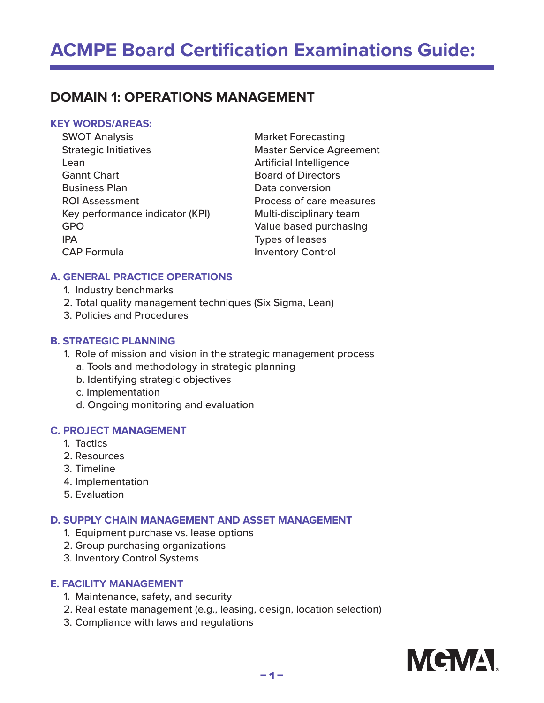# **DOMAIN 1: OPERATIONS MANAGEMENT**

## **KEY WORDS/AREAS:**

| <b>SWOT Analysis</b>            | <b>Market Forecasting</b>       |
|---------------------------------|---------------------------------|
| <b>Strategic Initiatives</b>    | <b>Master Service Agreement</b> |
| Lean                            | <b>Artificial Intelligence</b>  |
| <b>Gannt Chart</b>              | <b>Board of Directors</b>       |
| <b>Business Plan</b>            | Data conversion                 |
| <b>ROI Assessment</b>           | Process of care measures        |
| Key performance indicator (KPI) | Multi-disciplinary team         |
| <b>GPO</b>                      | Value based purchasing          |
| <b>IPA</b>                      | Types of leases                 |
| <b>CAP Formula</b>              | <b>Inventory Control</b>        |
|                                 |                                 |

#### **A. GENERAL PRACTICE OPERATIONS**

- 1. Industry benchmarks
- 2. Total quality management techniques (Six Sigma, Lean)
- 3. Policies and Procedures

#### **B. STRATEGIC PLANNING**

- 1. Role of mission and vision in the strategic management process
	- a. Tools and methodology in strategic planning
	- b. Identifying strategic objectives
	- c. Implementation
	- d. Ongoing monitoring and evaluation

#### **C. PROJECT MANAGEMENT**

- 1. Tactics
- 2. Resources
- 3. Timeline
- 4. Implementation
- 5. Evaluation

#### **D. SUPPLY CHAIN MANAGEMENT AND ASSET MANAGEMENT**

- 1. Equipment purchase vs. lease options
- 2. Group purchasing organizations
- 3. Inventory Control Systems

#### **E. FACILITY MANAGEMENT**

- 1. Maintenance, safety, and security
- 2. Real estate management (e.g., leasing, design, location selection)
- 3. Compliance with laws and regulations

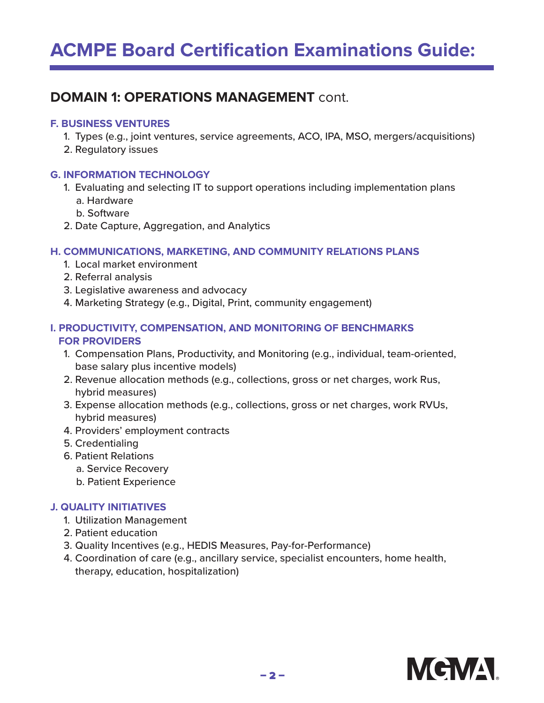# **DOMAIN 1: OPERATIONS MANAGEMENT** cont.

#### **F. BUSINESS VENTURES**

- 1. Types (e.g., joint ventures, service agreements, ACO, IPA, MSO, mergers/acquisitions)
- 2. Regulatory issues

## **G. INFORMATION TECHNOLOGY**

- 1. Evaluating and selecting IT to support operations including implementation plans a. Hardware
	- b. Software
- 2. Date Capture, Aggregation, and Analytics

## **H. COMMUNICATIONS, MARKETING, AND COMMUNITY RELATIONS PLANS**

- 1. Local market environment
- 2. Referral analysis
- 3. Legislative awareness and advocacy
- 4. Marketing Strategy (e.g., Digital, Print, community engagement)

## **I. PRODUCTIVITY, COMPENSATION, AND MONITORING OF BENCHMARKS FOR PROVIDERS**

- 1. Compensation Plans, Productivity, and Monitoring (e.g., individual, team-oriented, base salary plus incentive models)
- 2. Revenue allocation methods (e.g., collections, gross or net charges, work Rus, hybrid measures)
- 3. Expense allocation methods (e.g., collections, gross or net charges, work RVUs, hybrid measures)
- 4. Providers' employment contracts
- 5. Credentialing
- 6. Patient Relations
	- a. Service Recovery
	- b. Patient Experience

## **J. QUALITY INITIATIVES**

- 1. Utilization Management
- 2. Patient education
- 3. Quality Incentives (e.g., HEDIS Measures, Pay-for-Performance)
- 4. Coordination of care (e.g., ancillary service, specialist encounters, home health, therapy, education, hospitalization)

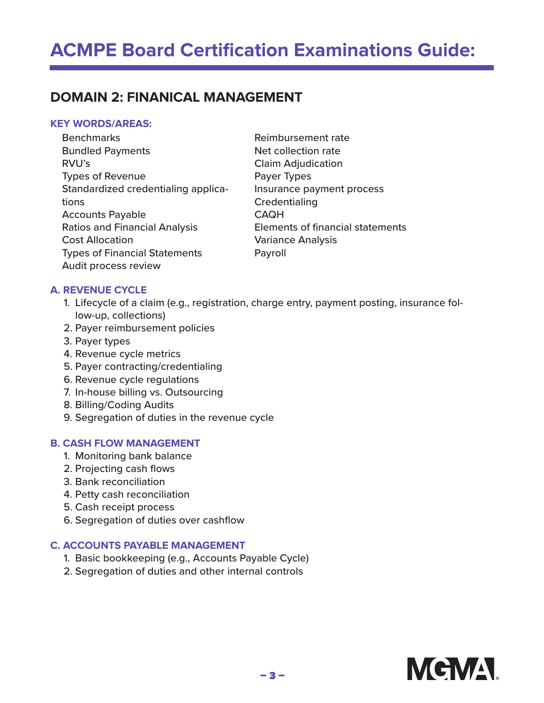# **DOMAIN 2: FINANICAL MANAGEMENT**

#### **KEY WORDS/AREAS:**

**Benchmarks** Bundled Payments RVU's Types of Revenue Standardized credentialing applications Accounts Payable Ratios and Financial Analysis Cost Allocation Types of Financial Statements Audit process review

Reimbursement rate Net collection rate Claim Adjudication Payer Types Insurance payment process **Credentialing** CAQH Elements of financial statements Variance Analysis Payroll

#### **A. REVENUE CYCLE**

- 1. Lifecycle of a claim (e.g., registration, charge entry, payment posting, insurance follow-up, collections)
- 2. Payer reimbursement policies
- 3. Payer types
- 4. Revenue cycle metrics
- 5. Payer contracting/credentialing
- 6. Revenue cycle regulations
- 7. In-house billing vs. Outsourcing
- 8. Billing/Coding Audits
- 9. Segregation of duties in the revenue cycle

#### **B. CASH FLOW MANAGEMENT**

- 1. Monitoring bank balance
- 2. Projecting cash flows
- 3. Bank reconciliation
- 4. Petty cash reconciliation
- 5. Cash receipt process
- 6. Segregation of duties over cashflow

#### **C. ACCOUNTS PAYABLE MANAGEMENT**

- 1. Basic bookkeeping (e.g., Accounts Payable Cycle)
- 2. Segregation of duties and other internal controls

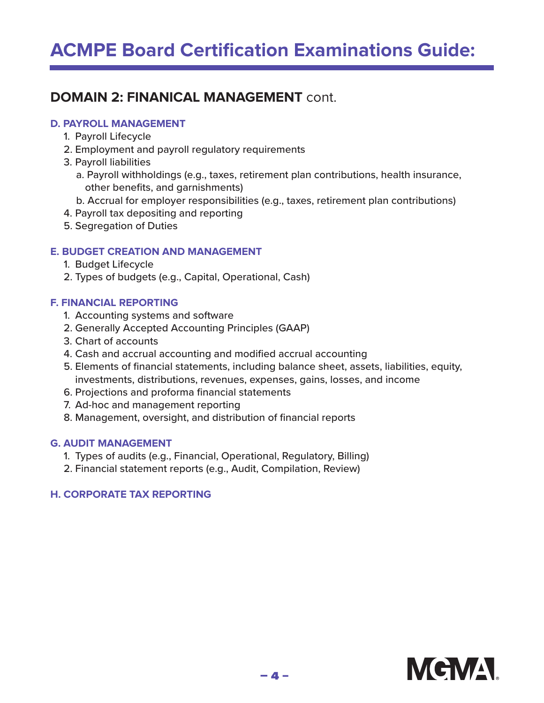# **ACMPE Board Certification Examinations Guide:**

# **DOMAIN 2: FINANICAL MANAGEMENT** cont.

#### **D. PAYROLL MANAGEMENT**

- 1. Payroll Lifecycle
- 2. Employment and payroll regulatory requirements
- 3. Payroll liabilities
	- a. Payroll withholdings (e.g., taxes, retirement plan contributions, health insurance, other benefits, and garnishments)
	- b. Accrual for employer responsibilities (e.g., taxes, retirement plan contributions)
- 4. Payroll tax depositing and reporting
- 5. Segregation of Duties

### **E. BUDGET CREATION AND MANAGEMENT**

- 1. Budget Lifecycle
- 2. Types of budgets (e.g., Capital, Operational, Cash)

### **F. FINANCIAL REPORTING**

- 1. Accounting systems and software
- 2. Generally Accepted Accounting Principles (GAAP)
- 3. Chart of accounts
- 4. Cash and accrual accounting and modified accrual accounting
- 5. Elements of financial statements, including balance sheet, assets, liabilities, equity, investments, distributions, revenues, expenses, gains, losses, and income
- 6. Projections and proforma financial statements
- 7. Ad-hoc and management reporting
- 8. Management, oversight, and distribution of financial reports

## **G. AUDIT MANAGEMENT**

- 1. Types of audits (e.g., Financial, Operational, Regulatory, Billing)
- 2. Financial statement reports (e.g., Audit, Compilation, Review)

## **H. CORPORATE TAX REPORTING**

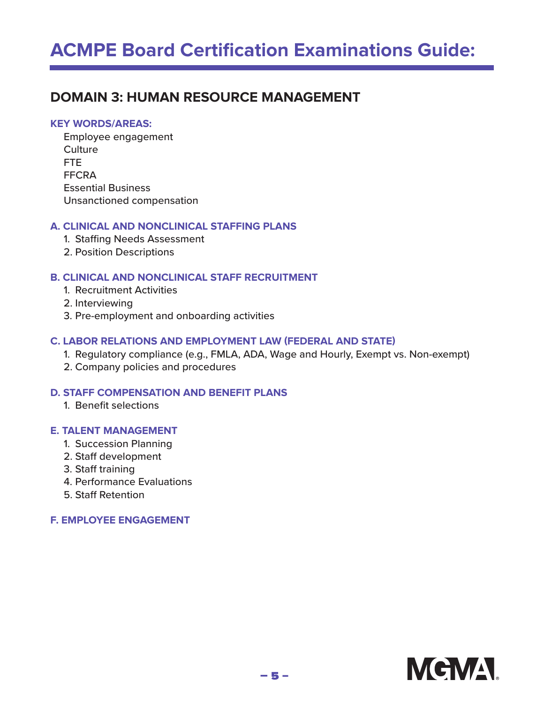# **DOMAIN 3: HUMAN RESOURCE MANAGEMENT**

#### **KEY WORDS/AREAS:**

Employee engagement **Culture** FTE FFCRA Essential Business Unsanctioned compensation

#### **A. CLINICAL AND NONCLINICAL STAFFING PLANS**

- 1. Staffing Needs Assessment
- 2. Position Descriptions

#### **B. CLINICAL AND NONCLINICAL STAFF RECRUITMENT**

- 1. Recruitment Activities
- 2. Interviewing
- 3. Pre-employment and onboarding activities

#### **C. LABOR RELATIONS AND EMPLOYMENT LAW (FEDERAL AND STATE)**

- 1. Regulatory compliance (e.g., FMLA, ADA, Wage and Hourly, Exempt vs. Non-exempt)
- 2. Company policies and procedures

#### **D. STAFF COMPENSATION AND BENEFIT PLANS**

1. Benefit selections

#### **E. TALENT MANAGEMENT**

- 1. Succession Planning
- 2. Staff development
- 3. Staff training
- 4. Performance Evaluations
- 5. Staff Retention

#### **F. EMPLOYEE ENGAGEMENT**

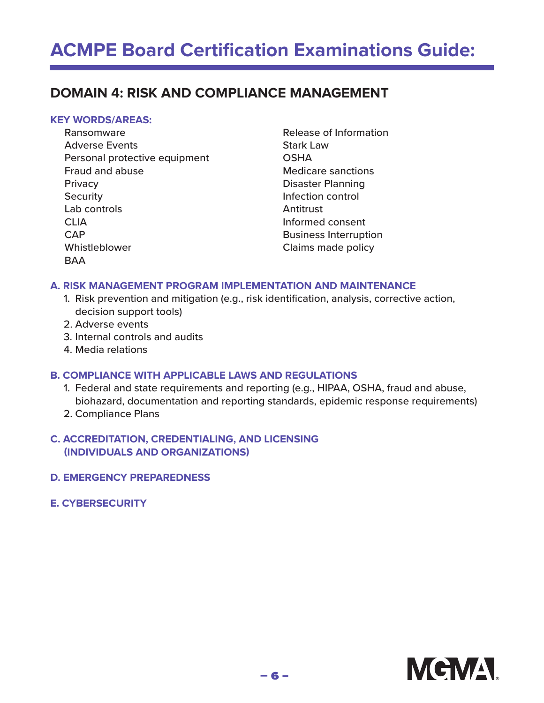# **ACMPE Board Certification Examinations Guide:**

# **DOMAIN 4: RISK AND COMPLIANCE MANAGEMENT**

#### **KEY WORDS/AREAS:**

- Ransomware Adverse Events Personal protective equipment Fraud and abuse **Privacy Security** Lab controls CLIA CAP Whistleblower **BAA**
- Release of Information Stark Law **OSHA** Medicare sanctions Disaster Planning Infection control Antitrust Informed consent Business Interruption Claims made policy

#### **A. RISK MANAGEMENT PROGRAM IMPLEMENTATION AND MAINTENANCE**

- 1. Risk prevention and mitigation (e.g., risk identification, analysis, corrective action, decision support tools)
- 2. Adverse events
- 3. Internal controls and audits
- 4. Media relations

#### **B. COMPLIANCE WITH APPLICABLE LAWS AND REGULATIONS**

- 1. Federal and state requirements and reporting (e.g., HIPAA, OSHA, fraud and abuse, biohazard, documentation and reporting standards, epidemic response requirements)
- 2. Compliance Plans

#### **C. ACCREDITATION, CREDENTIALING, AND LICENSING (INDIVIDUALS AND ORGANIZATIONS)**

- **D. EMERGENCY PREPAREDNESS**
- **E. CYBERSECURITY**